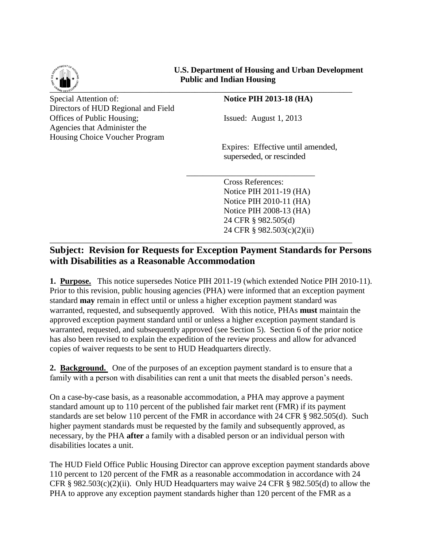

**U.S. Department of Housing and Urban Development Public and Indian Housing**

Special Attention of: **Notice PIH 2013-18** (HA) Directors of HUD Regional and Field Offices of Public Housing; Issued: August 1, 2013 Agencies that Administer the Housing Choice Voucher Program

Expires: Effective until amended, superseded, or rescinded

Cross References: Notice PIH 2011-19 (HA) Notice PIH 2010-11 (HA) Notice PIH 2008-13 (HA) 24 CFR § 982.505(d) 24 CFR § 982.503(c)(2)(ii)

## **Subject: Revision for Requests for Exception Payment Standards for Persons with Disabilities as a Reasonable Accommodation**

\_\_\_\_\_\_\_\_\_\_\_\_\_\_\_\_\_\_\_\_\_\_\_\_\_\_\_\_\_\_\_\_\_\_\_\_\_\_\_\_\_\_\_\_\_\_\_\_\_\_\_\_\_\_\_\_\_\_\_\_\_\_\_\_\_\_\_\_\_\_\_\_\_

 $\frac{1}{\sqrt{2}}$  ,  $\frac{1}{\sqrt{2}}$  ,  $\frac{1}{\sqrt{2}}$  ,  $\frac{1}{\sqrt{2}}$  ,  $\frac{1}{\sqrt{2}}$  ,  $\frac{1}{\sqrt{2}}$  ,  $\frac{1}{\sqrt{2}}$  ,  $\frac{1}{\sqrt{2}}$  ,  $\frac{1}{\sqrt{2}}$  ,  $\frac{1}{\sqrt{2}}$  ,  $\frac{1}{\sqrt{2}}$  ,  $\frac{1}{\sqrt{2}}$  ,  $\frac{1}{\sqrt{2}}$  ,  $\frac{1}{\sqrt{2}}$  ,  $\frac{1}{\sqrt{2}}$ 

**1. Purpose.** This notice supersedes Notice PIH 2011-19 (which extended Notice PIH 2010-11). Prior to this revision, public housing agencies (PHA) were informed that an exception payment standard **may** remain in effect until or unless a higher exception payment standard was warranted, requested, and subsequently approved. With this notice, PHAs **must** maintain the approved exception payment standard until or unless a higher exception payment standard is warranted, requested, and subsequently approved (see Section 5). Section 6 of the prior notice has also been revised to explain the expedition of the review process and allow for advanced copies of waiver requests to be sent to HUD Headquarters directly.

**2. Background.** One of the purposes of an exception payment standard is to ensure that a family with a person with disabilities can rent a unit that meets the disabled person's needs.

On a case-by-case basis, as a reasonable accommodation, a PHA may approve a payment standard amount up to 110 percent of the published fair market rent (FMR) if its payment standards are set below 110 percent of the FMR in accordance with 24 CFR § 982.505(d). Such higher payment standards must be requested by the family and subsequently approved, as necessary, by the PHA **after** a family with a disabled person or an individual person with disabilities locates a unit.

The HUD Field Office Public Housing Director can approve exception payment standards above 110 percent to 120 percent of the FMR as a reasonable accommodation in accordance with 24 CFR  $\S$  982.503(c)(2)(ii). Only HUD Headquarters may waive 24 CFR  $\S$  982.505(d) to allow the PHA to approve any exception payment standards higher than 120 percent of the FMR as a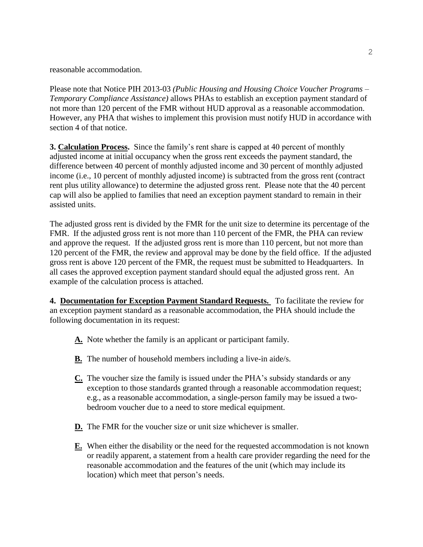reasonable accommodation.

Please note that Notice PIH 2013-03 *(Public Housing and Housing Choice Voucher Programs – Temporary Compliance Assistance)* allows PHAs to establish an exception payment standard of not more than 120 percent of the FMR without HUD approval as a reasonable accommodation. However, any PHA that wishes to implement this provision must notify HUD in accordance with section 4 of that notice.

**3. Calculation Process.** Since the family's rent share is capped at 40 percent of monthly adjusted income at initial occupancy when the gross rent exceeds the payment standard, the difference between 40 percent of monthly adjusted income and 30 percent of monthly adjusted income (i.e., 10 percent of monthly adjusted income) is subtracted from the gross rent (contract rent plus utility allowance) to determine the adjusted gross rent. Please note that the 40 percent cap will also be applied to families that need an exception payment standard to remain in their assisted units.

The adjusted gross rent is divided by the FMR for the unit size to determine its percentage of the FMR. If the adjusted gross rent is not more than 110 percent of the FMR, the PHA can review and approve the request. If the adjusted gross rent is more than 110 percent, but not more than 120 percent of the FMR, the review and approval may be done by the field office. If the adjusted gross rent is above 120 percent of the FMR, the request must be submitted to Headquarters. In all cases the approved exception payment standard should equal the adjusted gross rent. An example of the calculation process is attached.

**4. Documentation for Exception Payment Standard Requests.** To facilitate the review for an exception payment standard as a reasonable accommodation, the PHA should include the following documentation in its request:

- **A.** Note whether the family is an applicant or participant family.
- **B.** The number of household members including a live-in aide/s.
- **C.** The voucher size the family is issued under the PHA's subsidy standards or any exception to those standards granted through a reasonable accommodation request; e.g., as a reasonable accommodation, a single-person family may be issued a twobedroom voucher due to a need to store medical equipment.
- **D.** The FMR for the voucher size or unit size whichever is smaller.
- **E.** When either the disability or the need for the requested accommodation is not known or readily apparent, a statement from a health care provider regarding the need for the reasonable accommodation and the features of the unit (which may include its location) which meet that person's needs.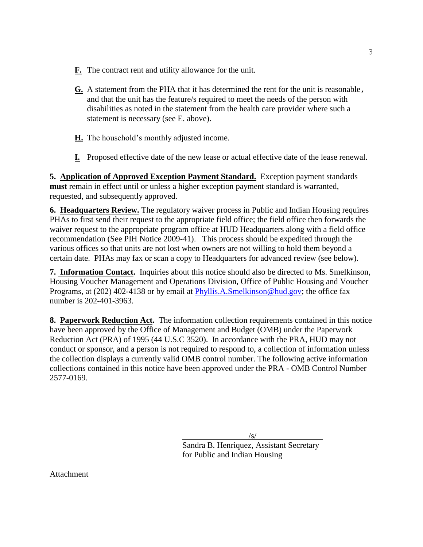- **F.** The contract rent and utility allowance for the unit.
- **G.** A statement from the PHA that it has determined the rent for the unit is reasonable, and that the unit has the feature/s required to meet the needs of the person with disabilities as noted in the statement from the health care provider where such a statement is necessary (see E. above).
- **H.** The household's monthly adjusted income.
- **I.** Proposed effective date of the new lease or actual effective date of the lease renewal.

**5. Application of Approved Exception Payment Standard.** Exception payment standards **must** remain in effect until or unless a higher exception payment standard is warranted, requested, and subsequently approved.

**6. Headquarters Review.** The regulatory waiver process in Public and Indian Housing requires PHAs to first send their request to the appropriate field office; the field office then forwards the waiver request to the appropriate program office at HUD Headquarters along with a field office recommendation (See PIH Notice 2009-41). This process should be expedited through the various offices so that units are not lost when owners are not willing to hold them beyond a certain date. PHAs may fax or scan a copy to Headquarters for advanced review (see below).

**7. Information Contact.** Inquiries about this notice should also be directed to Ms. Smelkinson, Housing Voucher Management and Operations Division, Office of Public Housing and Voucher Programs, at (202) 402-4138 or by email at [Phyllis.A.Smelkinson@hud.gov;](mailto:Phyllis.A.Smelkinson@hud.gov) the office fax number is 202-401-3963.

**8. Paperwork Reduction Act.** The information collection requirements contained in this notice have been approved by the Office of Management and Budget (OMB) under the Paperwork Reduction Act (PRA) of 1995 (44 U.S.C 3520). In accordance with the PRA, HUD may not conduct or sponsor, and a person is not required to respond to, a collection of information unless the collection displays a currently valid OMB control number. The following active information collections contained in this notice have been approved under the PRA - OMB Control Number 2577-0169.

/s/

 Sandra B. Henriquez, Assistant Secretary for Public and Indian Housing

Attachment